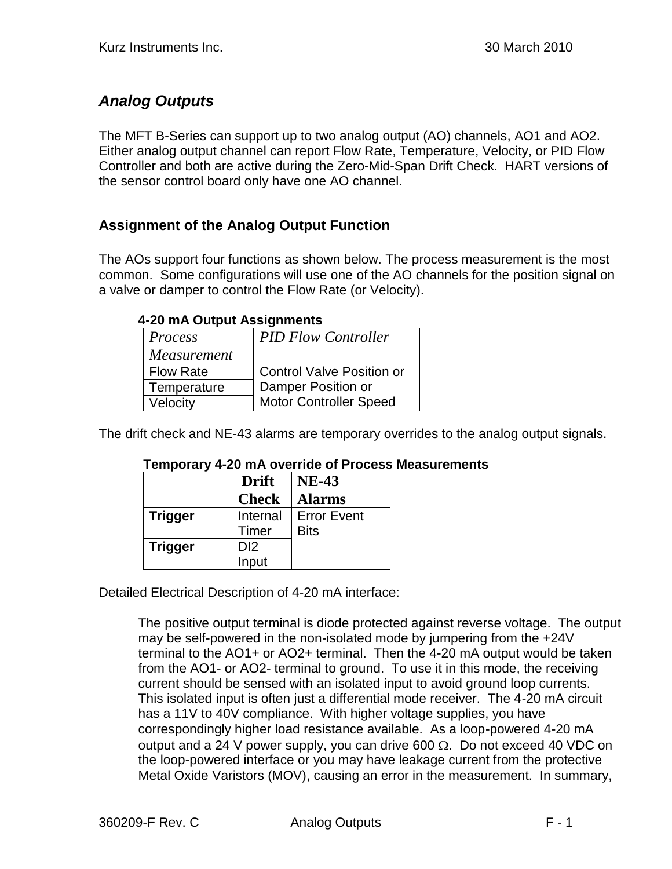# *Analog Outputs*

The MFT B-Series can support up to two analog output (AO) channels, AO1 and AO2. Either analog output channel can report Flow Rate, Temperature, Velocity, or PID Flow Controller and both are active during the Zero-Mid-Span Drift Check. HART versions of the sensor control board only have one AO channel.

## **Assignment of the Analog Output Function**

The AOs support four functions as shown below. The process measurement is the most common. Some configurations will use one of the AO channels for the position signal on a valve or damper to control the Flow Rate (or Velocity).

| Process          | <b>PID Flow Controller</b>       |  |
|------------------|----------------------------------|--|
| Measurement      |                                  |  |
| <b>Flow Rate</b> | <b>Control Valve Position or</b> |  |
| Temperature      | Damper Position or               |  |
| Velocity         | <b>Motor Controller Speed</b>    |  |

#### **4-20 mA Output Assignments**

The drift check and NE-43 alarms are temporary overrides to the analog output signals.

| --             |                 |                    |
|----------------|-----------------|--------------------|
|                | <b>Drift</b>    | <b>NE-43</b>       |
|                | <b>Check</b>    | <b>Alarms</b>      |
| <b>Trigger</b> | Internal        | <b>Error Event</b> |
|                | Timer           | <b>Bits</b>        |
| <b>Trigger</b> | D <sub>12</sub> |                    |
|                | Input           |                    |

#### **Temporary 4-20 mA override of Process Measurements**

Detailed Electrical Description of 4-20 mA interface:

The positive output terminal is diode protected against reverse voltage. The output may be self-powered in the non-isolated mode by jumpering from the +24V terminal to the AO1+ or AO2+ terminal. Then the 4-20 mA output would be taken from the AO1- or AO2- terminal to ground. To use it in this mode, the receiving current should be sensed with an isolated input to avoid ground loop currents. This isolated input is often just a differential mode receiver. The 4-20 mA circuit has a 11V to 40V compliance. With higher voltage supplies, you have correspondingly higher load resistance available. As a loop-powered 4-20 mA output and a 24 V power supply, you can drive 600  $\Omega$ . Do not exceed 40 VDC on the loop-powered interface or you may have leakage current from the protective Metal Oxide Varistors (MOV), causing an error in the measurement. In summary,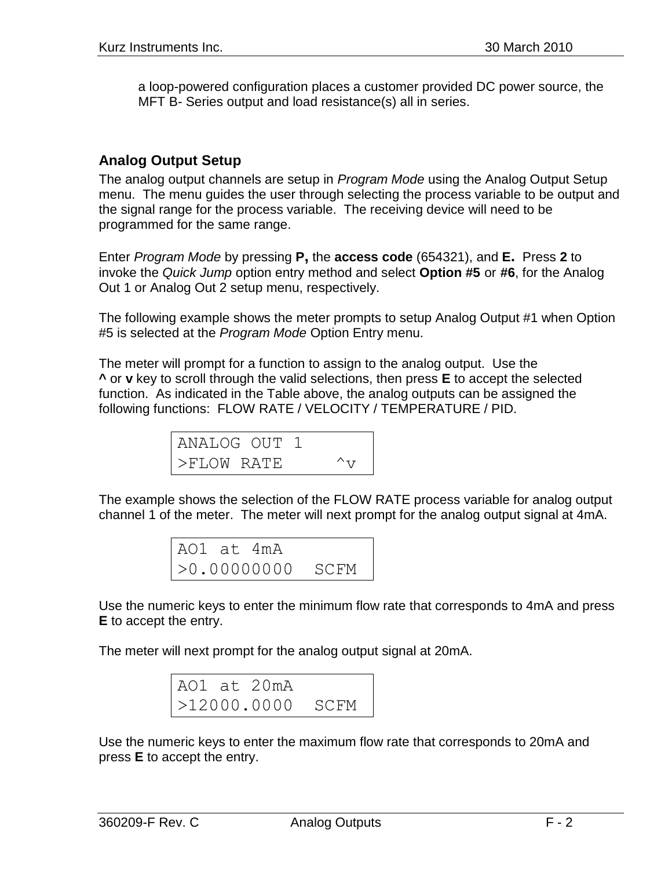a loop-powered configuration places a customer provided DC power source, the MFT B- Series output and load resistance(s) all in series.

#### **Analog Output Setup**

The analog output channels are setup in *Program Mode* using the Analog Output Setup menu. The menu guides the user through selecting the process variable to be output and the signal range for the process variable. The receiving device will need to be programmed for the same range.

Enter *Program Mode* by pressing **P,** the **access code** (654321), and **E.** Press **2** to invoke the *Quick Jump* option entry method and select **Option #5** or **#6**, for the Analog Out 1 or Analog Out 2 setup menu, respectively.

The following example shows the meter prompts to setup Analog Output #1 when Option #5 is selected at the *Program Mode* Option Entry menu.

The meter will prompt for a function to assign to the analog output. Use the **^** or **v** key to scroll through the valid selections, then press **E** to accept the selected function. As indicated in the Table above, the analog outputs can be assigned the following functions: FLOW RATE / VELOCITY / TEMPERATURE / PID.

| ANALOG OUT 1 |  |               |
|--------------|--|---------------|
| >FLOW RATE   |  | $\wedge_{77}$ |

The example shows the selection of the FLOW RATE process variable for analog output channel 1 of the meter. The meter will next prompt for the analog output signal at 4mA.

| AO1 at 4mA |                    |  |
|------------|--------------------|--|
|            | $>0.00000000$ SCFM |  |

Use the numeric keys to enter the minimum flow rate that corresponds to 4mA and press **E** to accept the entry.

The meter will next prompt for the analog output signal at 20mA.

|  | AO1 at 20mA |                  |
|--|-------------|------------------|
|  |             | >12000.0000 SCFM |

Use the numeric keys to enter the maximum flow rate that corresponds to 20mA and press **E** to accept the entry.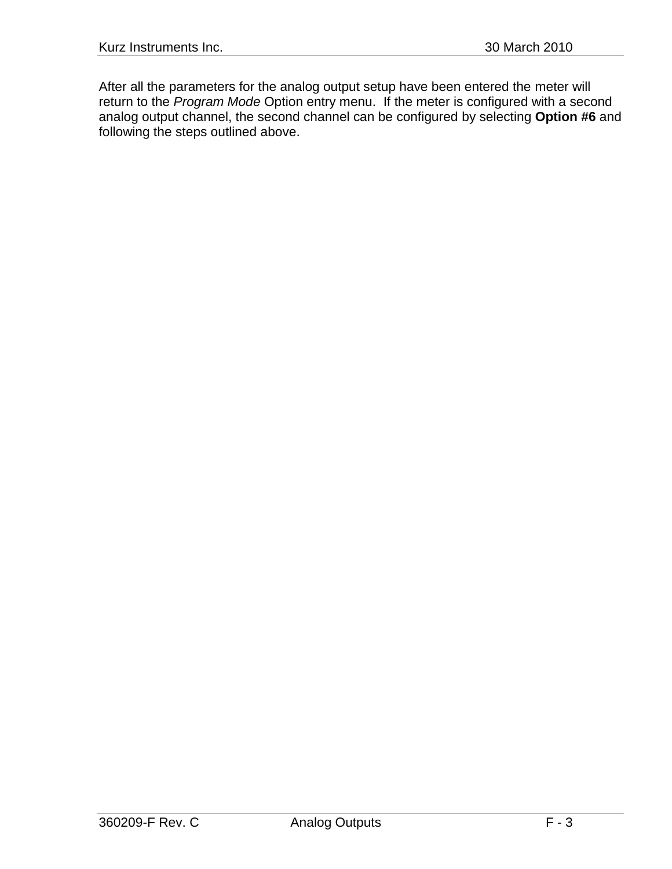After all the parameters for the analog output setup have been entered the meter will return to the *Program Mode* Option entry menu. If the meter is configured with a second analog output channel, the second channel can be configured by selecting **Option #6** and following the steps outlined above.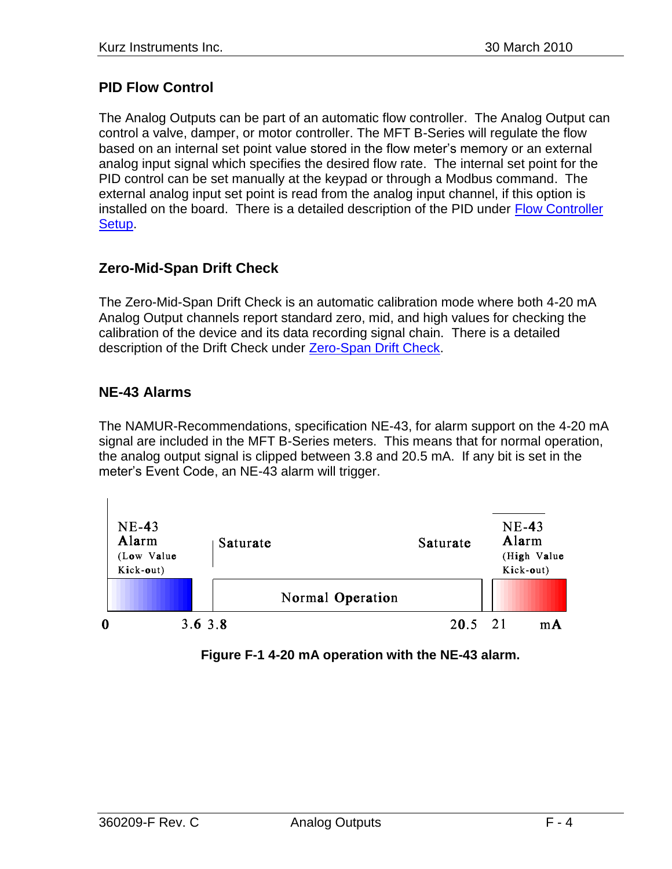## **PID Flow Control**

The Analog Outputs can be part of an automatic flow controller. The Analog Output can control a valve, damper, or motor controller. The MFT B-Series will regulate the flow based on an internal set point value stored in the flow meter's memory or an external analog input signal which specifies the desired flow rate. The internal set point for the PID control can be set manually at the keypad or through a Modbus command. The external analog input set point is read from the analog input channel, if this option is installed on the board. There is a detailed description of the PID under [Flow Controller](360209-O%20Flow%20Controller.pdf)  [Setup.](360209-O%20Flow%20Controller.pdf)

## **Zero-Mid-Span Drift Check**

The Zero-Mid-Span Drift Check is an automatic calibration mode where both 4-20 mA Analog Output channels report standard zero, mid, and high values for checking the calibration of the device and its data recording signal chain. There is a detailed description of the Drift Check under [Zero-Span Drift Check.](360209-N%20Zero-Midspan-Span.pdf)

### **NE-43 Alarms**

The NAMUR-Recommendations, specification NE-43, for alarm support on the 4-20 mA signal are included in the MFT B-Series meters. This means that for normal operation, the analog output signal is clipped between 3.8 and 20.5 mA. If any bit is set in the meter's Event Code, an NE-43 alarm will trigger.



**Figure F-1 4-20 mA operation with the NE-43 alarm.**